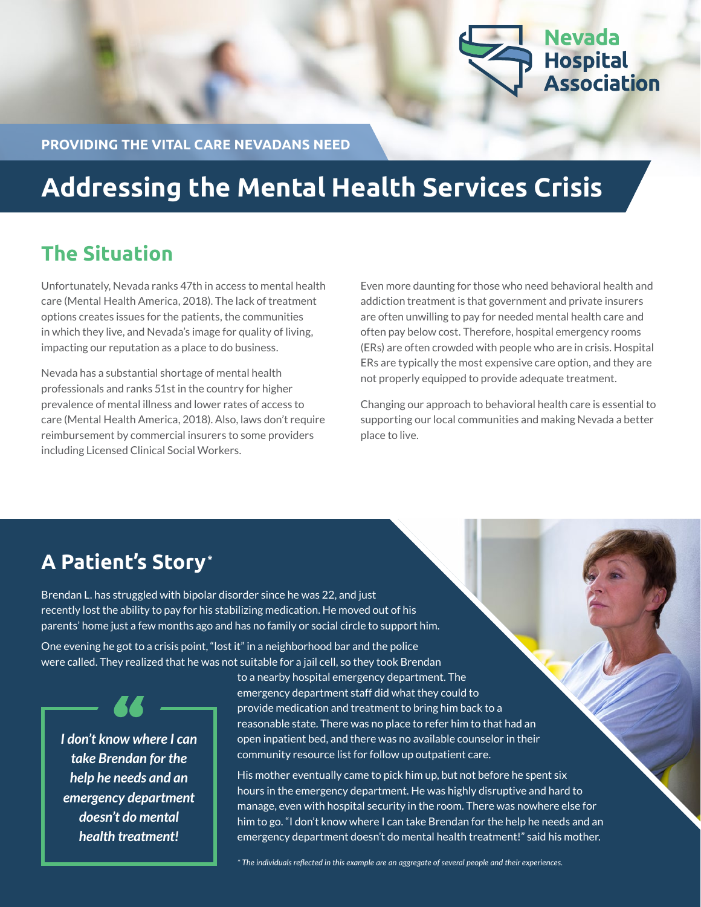

**PROVIDING THE VITAL CARE NEVADANS NEED**

## **Addressing the Mental Health Services Crisis**

#### **The Situation**

Unfortunately, Nevada ranks 47th in access to mental health care (Mental Health America, 2018). The lack of treatment options creates issues for the patients, the communities in which they live, and Nevada's image for quality of living, impacting our reputation as a place to do business.

Nevada has a substantial shortage of mental health professionals and ranks 51st in the country for higher prevalence of mental illness and lower rates of access to care (Mental Health America, 2018). Also, laws don't require reimbursement by commercial insurers to some providers including Licensed Clinical Social Workers.

Even more daunting for those who need behavioral health and addiction treatment is that government and private insurers are often unwilling to pay for needed mental health care and often pay below cost. Therefore, hospital emergency rooms (ERs) are often crowded with people who are in crisis. Hospital ERs are typically the most expensive care option, and they are not properly equipped to provide adequate treatment.

Changing our approach to behavioral health care is essential to supporting our local communities and making Nevada a better place to live.

### **A Patient's Story\***

Brendan L. has struggled with bipolar disorder since he was 22, and just recently lost the ability to pay for his stabilizing medication. He moved out of his parents' home just a few months ago and has no family or social circle to support him.

One evening he got to a crisis point, "lost it" in a neighborhood bar and the police were called. They realized that he was not suitable for a jail cell, so they took Brendan

*I don't know where I can take Brendan for the help he needs and an emergency department doesn't do mental health treatment!*

to a nearby hospital emergency department. The emergency department staff did what they could to provide medication and treatment to bring him back to a reasonable state. There was no place to refer him to that had an open inpatient bed, and there was no available counselor in their community resource list for follow up outpatient care.

His mother eventually came to pick him up, but not before he spent six hours in the emergency department. He was highly disruptive and hard to manage, even with hospital security in the room. There was nowhere else for him to go. "I don't know where I can take Brendan for the help he needs and an emergency department doesn't do mental health treatment!" said his mother.

*\* The individuals reflected in this example are an aggregate of several people and their experiences.*